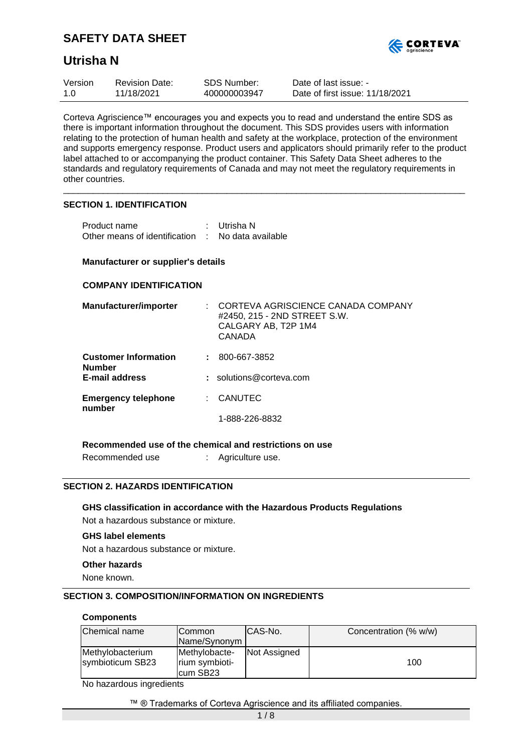

# **Utrisha N**

| Version | <b>Revision Date:</b> | <b>SDS Number:</b> | Date of last issue: -           |
|---------|-----------------------|--------------------|---------------------------------|
| 1.0     | 11/18/2021            | 400000003947       | Date of first issue: 11/18/2021 |

Corteva Agriscience™ encourages you and expects you to read and understand the entire SDS as there is important information throughout the document. This SDS provides users with information relating to the protection of human health and safety at the workplace, protection of the environment and supports emergency response. Product users and applicators should primarily refer to the product label attached to or accompanying the product container. This Safety Data Sheet adheres to the standards and regulatory requirements of Canada and may not meet the regulatory requirements in other countries.

\_\_\_\_\_\_\_\_\_\_\_\_\_\_\_\_\_\_\_\_\_\_\_\_\_\_\_\_\_\_\_\_\_\_\_\_\_\_\_\_\_\_\_\_\_\_\_\_\_\_\_\_\_\_\_\_\_\_\_\_\_\_\_\_\_\_\_\_\_\_\_\_\_\_\_\_\_\_\_\_\_

### **SECTION 1. IDENTIFICATION**

| Product name                                      | : Utrisha N |
|---------------------------------------------------|-------------|
| Other means of identification : No data available |             |

### **Manufacturer or supplier's details**

## **COMPANY IDENTIFICATION**

| Manufacturer/importer                        | CORTEVA AGRISCIENCE CANADA COMPANY<br>#2450, 215 - 2ND STREET S.W.<br>CALGARY AB, T2P 1M4<br>CANADA |
|----------------------------------------------|-----------------------------------------------------------------------------------------------------|
| <b>Customer Information</b><br><b>Number</b> | 800-667-3852                                                                                        |
| <b>E-mail address</b>                        | $:$ solutions@corteva.com                                                                           |
| <b>Emergency telephone</b><br>number         | <b>CANUTEC</b>                                                                                      |
|                                              | 1-888-226-8832                                                                                      |

## **Recommended use of the chemical and restrictions on use**

Recommended use : Agriculture use.

## **SECTION 2. HAZARDS IDENTIFICATION**

# **GHS classification in accordance with the Hazardous Products Regulations**

Not a hazardous substance or mixture.

## **GHS label elements**

Not a hazardous substance or mixture.

#### **Other hazards**

None known.

## **SECTION 3. COMPOSITION/INFORMATION ON INGREDIENTS**

#### **Components**

| Chemical name<br><b>ICommon</b>      |                                             | CAS-No.      | Concentration (% w/w) |
|--------------------------------------|---------------------------------------------|--------------|-----------------------|
|                                      | Name/Synonym                                |              |                       |
| Methylobacterium<br>symbioticum SB23 | Methylobacte-<br>rium symbioti-<br>cum SB23 | Not Assigned | 100                   |

No hazardous ingredients

#### ™ ® Trademarks of Corteva Agriscience and its affiliated companies.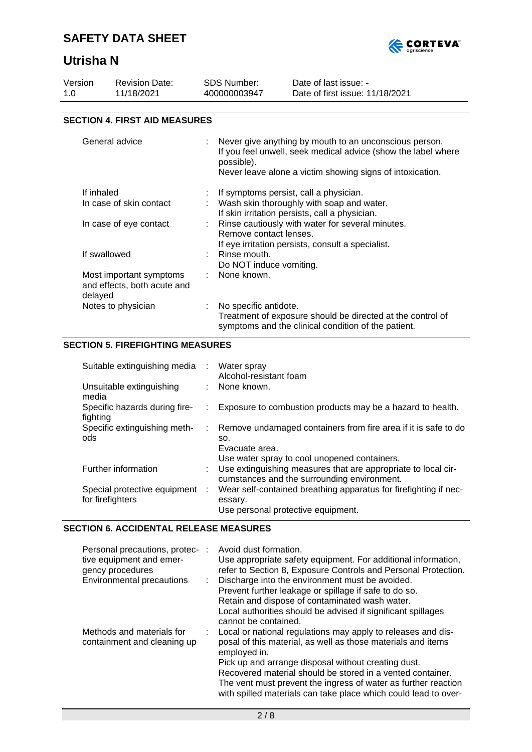

# **Utrisha N**

| Version<br>1.0                                                  | <b>Revision Date:</b><br>11/18/2021  | <b>SDS Number:</b><br>400000003947                                                                                                                                                                                                                                        | Date of last issue: -<br>Date of first issue: 11/18/2021                                                                                                                               |  |
|-----------------------------------------------------------------|--------------------------------------|---------------------------------------------------------------------------------------------------------------------------------------------------------------------------------------------------------------------------------------------------------------------------|----------------------------------------------------------------------------------------------------------------------------------------------------------------------------------------|--|
|                                                                 | <b>SECTION 4. FIRST AID MEASURES</b> |                                                                                                                                                                                                                                                                           |                                                                                                                                                                                        |  |
|                                                                 |                                      |                                                                                                                                                                                                                                                                           |                                                                                                                                                                                        |  |
|                                                                 | General advice                       | possible).                                                                                                                                                                                                                                                                | : Never give anything by mouth to an unconscious person.<br>If you feel unwell, seek medical advice (show the label where<br>Never leave alone a victim showing signs of intoxication. |  |
| If inhaled<br>In case of skin contact<br>In case of eye contact |                                      | If symptoms persist, call a physician.<br>Wash skin thoroughly with soap and water.<br>If skin irritation persists, call a physician.<br>: Rinse cautiously with water for several minutes.<br>Remove contact lenses.<br>If eve irritation persists, consult a specialist |                                                                                                                                                                                        |  |

| If swallowed                                                      | If eye irritation persists, consult a specialist.<br>Rinse mouth.<br>Do NOT induce vomiting.                                               |
|-------------------------------------------------------------------|--------------------------------------------------------------------------------------------------------------------------------------------|
| Most important symptoms<br>and effects, both acute and<br>delayed | None known.                                                                                                                                |
| Notes to physician                                                | No specific antidote.<br>Treatment of exposure should be directed at the control of<br>symptoms and the clinical condition of the patient. |

# **SECTION 5. FIREFIGHTING MEASURES**

| Suitable extinguishing media                       | $\sim 100$ | Water spray<br>Alcohol-resistant foam                                                                                                   |
|----------------------------------------------------|------------|-----------------------------------------------------------------------------------------------------------------------------------------|
| Unsuitable extinguishing<br>media                  |            | : None known.                                                                                                                           |
| Specific hazards during fire-<br>fighting          |            | Exposure to combustion products may be a hazard to health.                                                                              |
| Specific extinguishing meth-<br>ods                | ÷.         | Remove undamaged containers from fire area if it is safe to do<br>SO.<br>Evacuate area.<br>Use water spray to cool unopened containers. |
| Further information                                |            | : Use extinguishing measures that are appropriate to local cir-<br>cumstances and the surrounding environment.                          |
| Special protective equipment :<br>for firefighters |            | Wear self-contained breathing apparatus for firefighting if nec-<br>essary.<br>Use personal protective equipment.                       |

# **SECTION 6. ACCIDENTAL RELEASE MEASURES**

| Personal precautions, protec- :<br>tive equipment and emer-<br>gency procedures<br>Environmental precautions | Avoid dust formation.<br>Use appropriate safety equipment. For additional information,<br>refer to Section 8, Exposure Controls and Personal Protection.<br>: Discharge into the environment must be avoided.<br>Prevent further leakage or spillage if safe to do so.<br>Retain and dispose of contaminated wash water.<br>Local authorities should be advised if significant spillages<br>cannot be contained. |
|--------------------------------------------------------------------------------------------------------------|------------------------------------------------------------------------------------------------------------------------------------------------------------------------------------------------------------------------------------------------------------------------------------------------------------------------------------------------------------------------------------------------------------------|
| Methods and materials for<br>containment and cleaning up                                                     | : Local or national regulations may apply to releases and dis-<br>posal of this material, as well as those materials and items<br>employed in.<br>Pick up and arrange disposal without creating dust.<br>Recovered material should be stored in a vented container.<br>The vent must prevent the ingress of water as further reaction<br>with spilled materials can take place which could lead to over-         |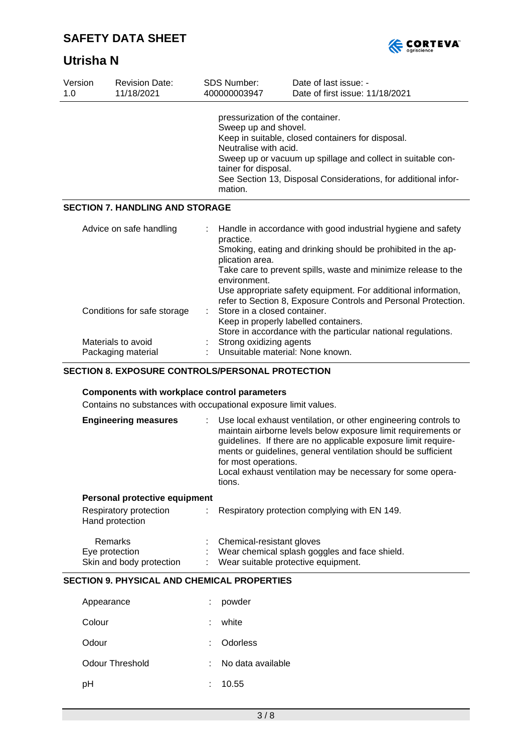



| Version<br>1.0 | <b>Revision Date:</b><br>11/18/2021      | <b>SDS Number:</b><br>400000003947                                                                                                                                                                                                                                                                         |                                              | Date of last issue: -<br>Date of first issue: 11/18/2021                                                                                                                                                                                                                                                                          |
|----------------|------------------------------------------|------------------------------------------------------------------------------------------------------------------------------------------------------------------------------------------------------------------------------------------------------------------------------------------------------------|----------------------------------------------|-----------------------------------------------------------------------------------------------------------------------------------------------------------------------------------------------------------------------------------------------------------------------------------------------------------------------------------|
|                |                                          | pressurization of the container.<br>Sweep up and shovel.<br>Keep in suitable, closed containers for disposal.<br>Neutralise with acid.<br>Sweep up or vacuum up spillage and collect in suitable con-<br>tainer for disposal.<br>See Section 13, Disposal Considerations, for additional infor-<br>mation. |                                              |                                                                                                                                                                                                                                                                                                                                   |
|                | <b>SECTION 7. HANDLING AND STORAGE</b>   |                                                                                                                                                                                                                                                                                                            |                                              |                                                                                                                                                                                                                                                                                                                                   |
|                | Advice on safe handling                  |                                                                                                                                                                                                                                                                                                            | practice.<br>plication area.<br>environment. | Handle in accordance with good industrial hygiene and safety<br>Smoking, eating and drinking should be prohibited in the ap-<br>Take care to prevent spills, waste and minimize release to the<br>Use appropriate safety equipment. For additional information,<br>refer to Section 8, Exposure Controls and Personal Protection. |
|                | Conditions for safe storage              |                                                                                                                                                                                                                                                                                                            | Store in a closed container.                 | Keep in properly labelled containers.<br>Store in accordance with the particular national regulations.                                                                                                                                                                                                                            |
|                | Materials to avoid<br>Packaging material |                                                                                                                                                                                                                                                                                                            | Strong oxidizing agents                      | Unsuitable material: None known.                                                                                                                                                                                                                                                                                                  |

# **SECTION 8. EXPOSURE CONTROLS/PERSONAL PROTECTION**

### **Components with workplace control parameters**

Contains no substances with occupational exposure limit values.

| <b>Engineering measures</b> | : Use local exhaust ventilation, or other engineering controls to<br>maintain airborne levels below exposure limit requirements or<br>guidelines. If there are no applicable exposure limit require-<br>ments or guidelines, general ventilation should be sufficient<br>for most operations.<br>Local exhaust ventilation may be necessary for some opera-<br>tions. |
|-----------------------------|-----------------------------------------------------------------------------------------------------------------------------------------------------------------------------------------------------------------------------------------------------------------------------------------------------------------------------------------------------------------------|
|-----------------------------|-----------------------------------------------------------------------------------------------------------------------------------------------------------------------------------------------------------------------------------------------------------------------------------------------------------------------------------------------------------------------|

### **Personal protective equipment**

| Respiratory protection<br>Hand protection | Respiratory protection complying with EN 149. |  |
|-------------------------------------------|-----------------------------------------------|--|
| Remarks                                   | Chemical-resistant gloves                     |  |
| Eye protection                            | Wear chemical splash goggles and face shield. |  |
| Skin and body protection                  | Wear suitable protective equipment.           |  |

# **SECTION 9. PHYSICAL AND CHEMICAL PROPERTIES**

| Appearance      |   | powder            |
|-----------------|---|-------------------|
| Colour          |   | white             |
| Odour           |   | : Odorless        |
| Odour Threshold |   | No data available |
| рH              | t | 10.55             |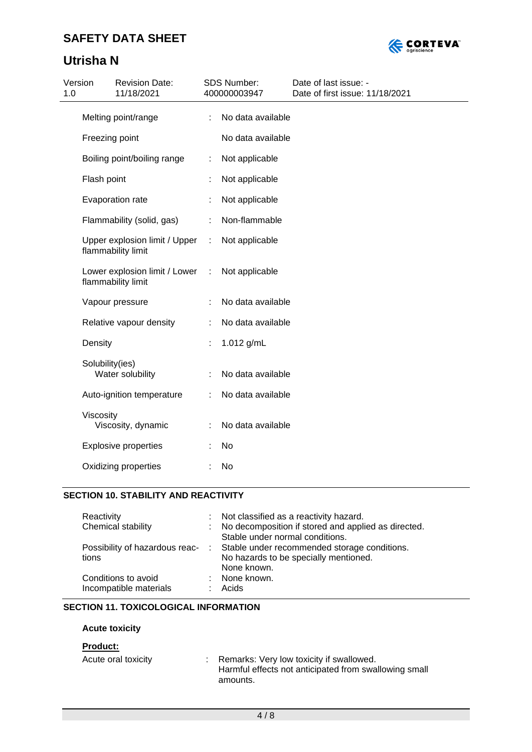# **Utrisha N**



| 1.0 | Version                     | <b>Revision Date:</b><br>11/18/2021                 |   | <b>SDS Number:</b><br>400000003947 | Date of last issue: -<br>Date of first issue: 11/18/2021 |
|-----|-----------------------------|-----------------------------------------------------|---|------------------------------------|----------------------------------------------------------|
|     |                             | Melting point/range                                 |   | No data available                  |                                                          |
|     |                             | Freezing point                                      |   | No data available                  |                                                          |
|     | Boiling point/boiling range |                                                     | ÷ | Not applicable                     |                                                          |
|     | Flash point                 |                                                     |   | Not applicable                     |                                                          |
|     |                             | Evaporation rate                                    |   | Not applicable                     |                                                          |
|     |                             | Flammability (solid, gas)                           |   | Non-flammable                      |                                                          |
|     |                             | Upper explosion limit / Upper<br>flammability limit | ÷ | Not applicable                     |                                                          |
|     |                             | Lower explosion limit / Lower<br>flammability limit | ÷ | Not applicable                     |                                                          |
|     |                             | Vapour pressure                                     |   | No data available                  |                                                          |
|     |                             | Relative vapour density                             |   | No data available                  |                                                          |
|     | Density                     |                                                     |   | 1.012 g/mL                         |                                                          |
|     | Solubility(ies)             | Water solubility                                    |   | No data available                  |                                                          |
|     |                             | Auto-ignition temperature                           |   | No data available                  |                                                          |
|     | Viscosity                   | Viscosity, dynamic                                  |   | No data available                  |                                                          |
|     |                             | <b>Explosive properties</b>                         |   | No                                 |                                                          |
|     |                             | Oxidizing properties                                |   | No                                 |                                                          |

# **SECTION 10. STABILITY AND REACTIVITY**

| : Not classified as a reactivity hazard.                                      |
|-------------------------------------------------------------------------------|
| : No decomposition if stored and applied as directed.                         |
| Stable under normal conditions.                                               |
| Possibility of hazardous reac- : Stable under recommended storage conditions. |
| No hazards to be specially mentioned.                                         |
| None known.                                                                   |
| : None known.                                                                 |
| Acids                                                                         |
|                                                                               |

# **SECTION 11. TOXICOLOGICAL INFORMATION**

# **Acute toxicity**

# **Product:**

| Acute oral toxicity | Remarks: Very low toxicity if swallowed.              |
|---------------------|-------------------------------------------------------|
|                     | Harmful effects not anticipated from swallowing small |
|                     | amounts.                                              |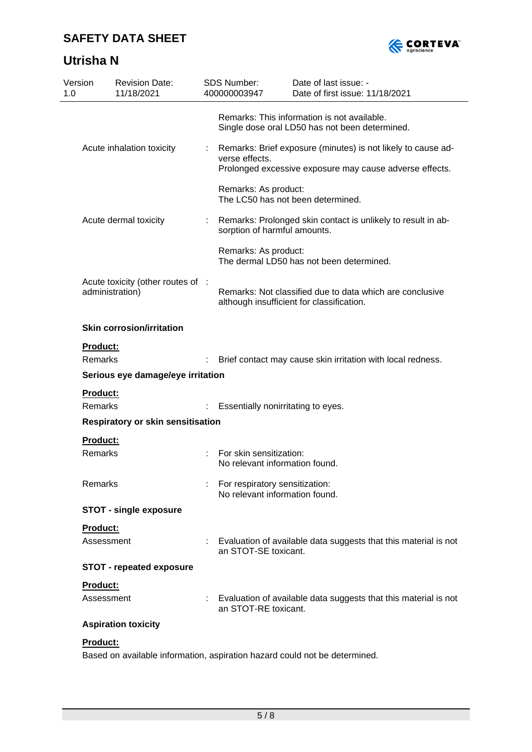



| Version<br>1.0                    | <b>Revision Date:</b><br>11/18/2021                            |  | <b>SDS Number:</b><br>400000003947                               | Date of last issue: -<br>Date of first issue: 11/18/2021                                                                |
|-----------------------------------|----------------------------------------------------------------|--|------------------------------------------------------------------|-------------------------------------------------------------------------------------------------------------------------|
|                                   | Acute inhalation toxicity<br>Acute dermal toxicity             |  |                                                                  | Remarks: This information is not available.<br>Single dose oral LD50 has not been determined.                           |
|                                   |                                                                |  | verse effects.                                                   | Remarks: Brief exposure (minutes) is not likely to cause ad-<br>Prolonged excessive exposure may cause adverse effects. |
|                                   |                                                                |  | Remarks: As product:                                             | The LC50 has not been determined.                                                                                       |
|                                   |                                                                |  | sorption of harmful amounts.                                     | Remarks: Prolonged skin contact is unlikely to result in ab-                                                            |
|                                   |                                                                |  | Remarks: As product:                                             | The dermal LD50 has not been determined.                                                                                |
|                                   | Acute toxicity (other routes of :<br>administration)           |  |                                                                  | Remarks: Not classified due to data which are conclusive<br>although insufficient for classification.                   |
|                                   | <b>Skin corrosion/irritation</b><br>Product:<br><b>Remarks</b> |  |                                                                  |                                                                                                                         |
|                                   |                                                                |  |                                                                  | Brief contact may cause skin irritation with local redness.                                                             |
| Serious eye damage/eye irritation |                                                                |  |                                                                  |                                                                                                                         |
|                                   | Product:<br>Remarks                                            |  | Essentially nonirritating to eyes.                               |                                                                                                                         |
|                                   | Respiratory or skin sensitisation                              |  |                                                                  |                                                                                                                         |
|                                   | Product:                                                       |  |                                                                  |                                                                                                                         |
|                                   | Remarks                                                        |  | For skin sensitization:<br>No relevant information found.        |                                                                                                                         |
|                                   | Remarks                                                        |  | For respiratory sensitization:<br>No relevant information found. |                                                                                                                         |
|                                   | <b>STOT - single exposure</b>                                  |  |                                                                  |                                                                                                                         |
|                                   | Product:                                                       |  |                                                                  |                                                                                                                         |
|                                   | Assessment                                                     |  | an STOT-SE toxicant.                                             | Evaluation of available data suggests that this material is not                                                         |
|                                   | <b>STOT - repeated exposure</b>                                |  |                                                                  |                                                                                                                         |
|                                   | Product:                                                       |  |                                                                  |                                                                                                                         |
|                                   | Assessment                                                     |  | an STOT-RE toxicant.                                             | Evaluation of available data suggests that this material is not                                                         |
|                                   | <b>Aspiration toxicity</b>                                     |  |                                                                  |                                                                                                                         |
|                                   | Product:                                                       |  |                                                                  |                                                                                                                         |

Based on available information, aspiration hazard could not be determined.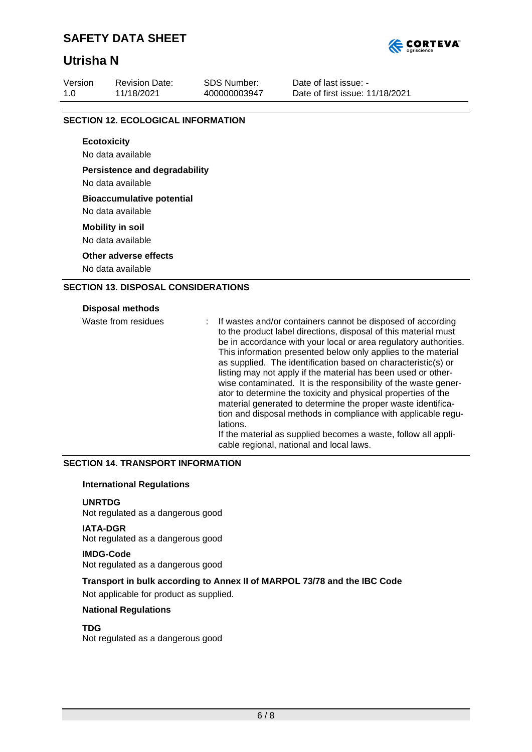# **Utrisha N**



Revision Date: 11/18/2021

SDS Number: 400000003947 Date of last issue: - Date of first issue: 11/18/2021

# **SECTION 12. ECOLOGICAL INFORMATION**

**Ecotoxicity** No data available **Persistence and degradability** No data available **Bioaccumulative potential** No data available **Mobility in soil** No data available

**Other adverse effects**

No data available

# **SECTION 13. DISPOSAL CONSIDERATIONS**

### **Disposal methods**

| Waste from residues | If wastes and/or containers cannot be disposed of according<br>to the product label directions, disposal of this material must<br>be in accordance with your local or area regulatory authorities.<br>This information presented below only applies to the material<br>as supplied. The identification based on characteristic(s) or<br>listing may not apply if the material has been used or other-<br>wise contaminated. It is the responsibility of the waste gener-<br>ator to determine the toxicity and physical properties of the<br>material generated to determine the proper waste identifica-<br>tion and disposal methods in compliance with applicable regu-<br>lations. |
|---------------------|----------------------------------------------------------------------------------------------------------------------------------------------------------------------------------------------------------------------------------------------------------------------------------------------------------------------------------------------------------------------------------------------------------------------------------------------------------------------------------------------------------------------------------------------------------------------------------------------------------------------------------------------------------------------------------------|
|                     | If the material as supplied becomes a waste, follow all appli-<br>cable regional, national and local laws.                                                                                                                                                                                                                                                                                                                                                                                                                                                                                                                                                                             |

## **SECTION 14. TRANSPORT INFORMATION**

## **International Regulations**

## **UNRTDG**

Not regulated as a dangerous good

# **IATA-DGR**

Not regulated as a dangerous good

**IMDG-Code** Not regulated as a dangerous good

# **Transport in bulk according to Annex II of MARPOL 73/78 and the IBC Code**

Not applicable for product as supplied.

## **National Regulations**

## **TDG**

Not regulated as a dangerous good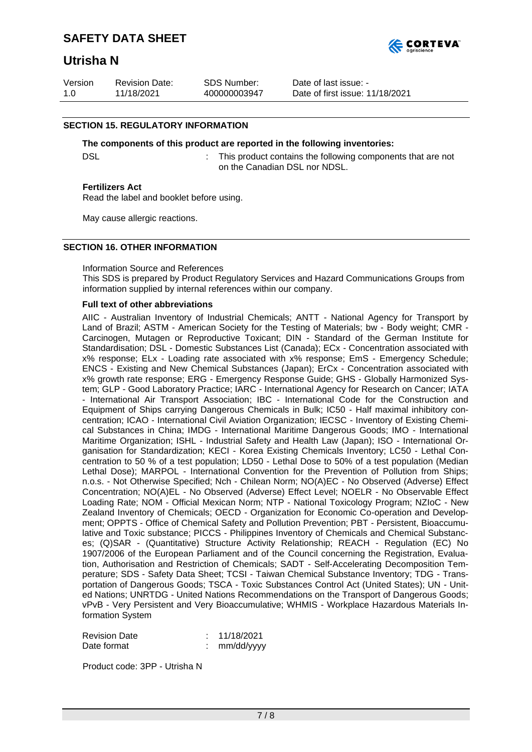

# **Utrisha N**

| Version | <b>Revision Date:</b> | SDS Number:  | Date of last issue: -           |
|---------|-----------------------|--------------|---------------------------------|
| 1.0     | 11/18/2021            | 400000003947 | Date of first issue: 11/18/2021 |

## **SECTION 15. REGULATORY INFORMATION**

#### **The components of this product are reported in the following inventories:**

DSL **EXECUTE:** This product contains the following components that are not on the Canadian DSL nor NDSL.

### **Fertilizers Act**

Read the label and booklet before using.

May cause allergic reactions.

## **SECTION 16. OTHER INFORMATION**

### Information Source and References

This SDS is prepared by Product Regulatory Services and Hazard Communications Groups from information supplied by internal references within our company.

### **Full text of other abbreviations**

AIIC - Australian Inventory of Industrial Chemicals; ANTT - National Agency for Transport by Land of Brazil; ASTM - American Society for the Testing of Materials; bw - Body weight; CMR - Carcinogen, Mutagen or Reproductive Toxicant; DIN - Standard of the German Institute for Standardisation; DSL - Domestic Substances List (Canada); ECx - Concentration associated with x% response; ELx - Loading rate associated with x% response; EmS - Emergency Schedule; ENCS - Existing and New Chemical Substances (Japan); ErCx - Concentration associated with x% growth rate response; ERG - Emergency Response Guide; GHS - Globally Harmonized System; GLP - Good Laboratory Practice; IARC - International Agency for Research on Cancer; IATA - International Air Transport Association; IBC - International Code for the Construction and Equipment of Ships carrying Dangerous Chemicals in Bulk; IC50 - Half maximal inhibitory concentration; ICAO - International Civil Aviation Organization; IECSC - Inventory of Existing Chemical Substances in China; IMDG - International Maritime Dangerous Goods; IMO - International Maritime Organization; ISHL - Industrial Safety and Health Law (Japan); ISO - International Organisation for Standardization; KECI - Korea Existing Chemicals Inventory; LC50 - Lethal Concentration to 50 % of a test population; LD50 - Lethal Dose to 50% of a test population (Median Lethal Dose); MARPOL - International Convention for the Prevention of Pollution from Ships; n.o.s. - Not Otherwise Specified; Nch - Chilean Norm; NO(A)EC - No Observed (Adverse) Effect Concentration; NO(A)EL - No Observed (Adverse) Effect Level; NOELR - No Observable Effect Loading Rate; NOM - Official Mexican Norm; NTP - National Toxicology Program; NZIoC - New Zealand Inventory of Chemicals; OECD - Organization for Economic Co-operation and Development; OPPTS - Office of Chemical Safety and Pollution Prevention; PBT - Persistent, Bioaccumulative and Toxic substance; PICCS - Philippines Inventory of Chemicals and Chemical Substances; (Q)SAR - (Quantitative) Structure Activity Relationship; REACH - Regulation (EC) No 1907/2006 of the European Parliament and of the Council concerning the Registration, Evaluation, Authorisation and Restriction of Chemicals; SADT - Self-Accelerating Decomposition Temperature; SDS - Safety Data Sheet; TCSI - Taiwan Chemical Substance Inventory; TDG - Transportation of Dangerous Goods; TSCA - Toxic Substances Control Act (United States); UN - United Nations; UNRTDG - United Nations Recommendations on the Transport of Dangerous Goods; vPvB - Very Persistent and Very Bioaccumulative; WHMIS - Workplace Hazardous Materials Information System

Revision Date : 11/18/2021 Date format : mm/dd/yyyy

Product code: 3PP - Utrisha N